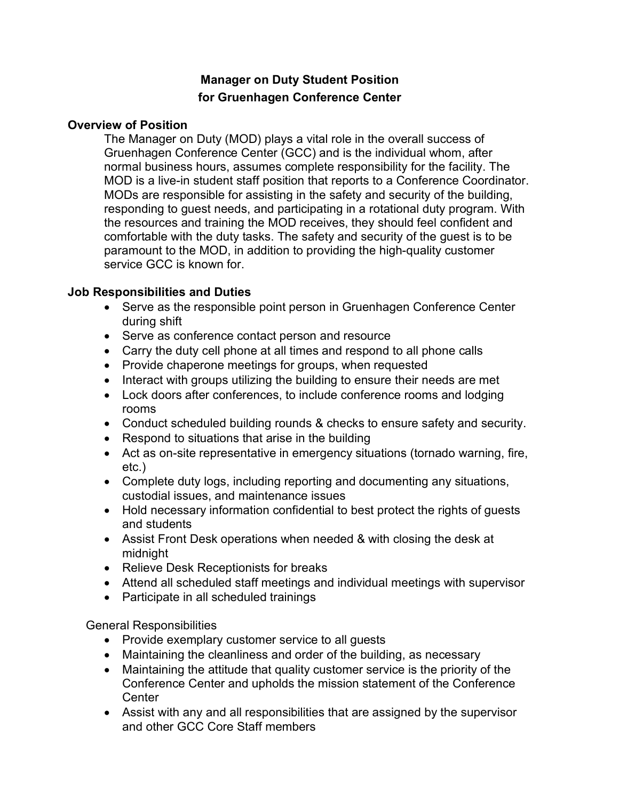# **Manager on Duty Student Position for Gruenhagen Conference Center**

#### **Overview of Position**

The Manager on Duty (MOD) plays a vital role in the overall success of Gruenhagen Conference Center (GCC) and is the individual whom, after normal business hours, assumes complete responsibility for the facility. The MOD is a live-in student staff position that reports to a Conference Coordinator. MODs are responsible for assisting in the safety and security of the building, responding to guest needs, and participating in a rotational duty program. With the resources and training the MOD receives, they should feel confident and comfortable with the duty tasks. The safety and security of the guest is to be paramount to the MOD, in addition to providing the high-quality customer service GCC is known for.

## **Job Responsibilities and Duties**

- Serve as the responsible point person in Gruenhagen Conference Center during shift
- Serve as conference contact person and resource
- Carry the duty cell phone at all times and respond to all phone calls
- Provide chaperone meetings for groups, when requested
- Interact with groups utilizing the building to ensure their needs are met
- Lock doors after conferences, to include conference rooms and lodging rooms
- Conduct scheduled building rounds & checks to ensure safety and security.
- Respond to situations that arise in the building
- Act as on-site representative in emergency situations (tornado warning, fire, etc.)
- Complete duty logs, including reporting and documenting any situations, custodial issues, and maintenance issues
- Hold necessary information confidential to best protect the rights of guests and students
- Assist Front Desk operations when needed & with closing the desk at midnight
- Relieve Desk Receptionists for breaks
- Attend all scheduled staff meetings and individual meetings with supervisor
- Participate in all scheduled trainings

General Responsibilities

- Provide exemplary customer service to all guests
- Maintaining the cleanliness and order of the building, as necessary
- Maintaining the attitude that quality customer service is the priority of the Conference Center and upholds the mission statement of the Conference **Center**
- Assist with any and all responsibilities that are assigned by the supervisor and other GCC Core Staff members